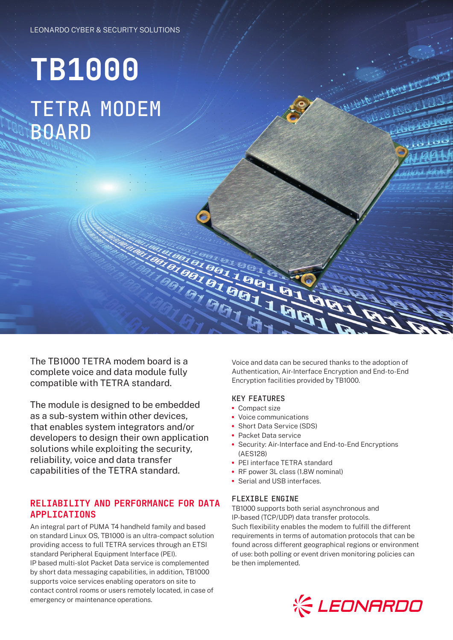# **TB1000** TETRA MODEM BOARD

The TB1000 TETRA modem board is a complete voice and data module fully compatible with TETRA standard.

The module is designed to be embedded as a sub-system within other devices, that enables system integrators and/or developers to design their own application solutions while exploiting the security, reliability, voice and data transfer capabilities of the TETRA standard.

## RELIABILITY AND PERFORMANCE FOR DATA **APPI TCATTONS**

An integral part of PUMA T4 handheld family and based on standard Linux OS, TB1000 is an ultra-compact solution providing access to full TETRA services through an ETSI standard Peripheral Equipment Interface (PEI). IP based multi-slot Packet Data service is complemented by short data messaging capabilities, in addition, TB1000 supports voice services enabling operators on site to contact control rooms or users remotely located, in case of emergency or maintenance operations.

Voice and data can be secured thanks to the adoption of Authentication, Air-Interface Encryption and End-to-End Encryption facilities provided by TB1000.

#### KEY FEATURES

- **•** Compact size
- **•** Voice communications
- **•** Short Data Service (SDS)
- **•** Packet Data service
- **•** Security: Air-Interface and End-to-End Encryptions (AES128)
- **•** PEI interface TETRA standard
- **•** RF power 3L class (1.8W nominal)
- **•** Serial and USB interfaces.

#### FLEXIBLE ENGINE

TB1000 supports both serial asynchronous and IP-based (TCP/UDP) data transfer protocols. Such flexibility enables the modem to fulfill the different requirements in terms of automation protocols that can be found across different geographical regions or environment of use: both polling or event driven monitoring policies can be then implemented.